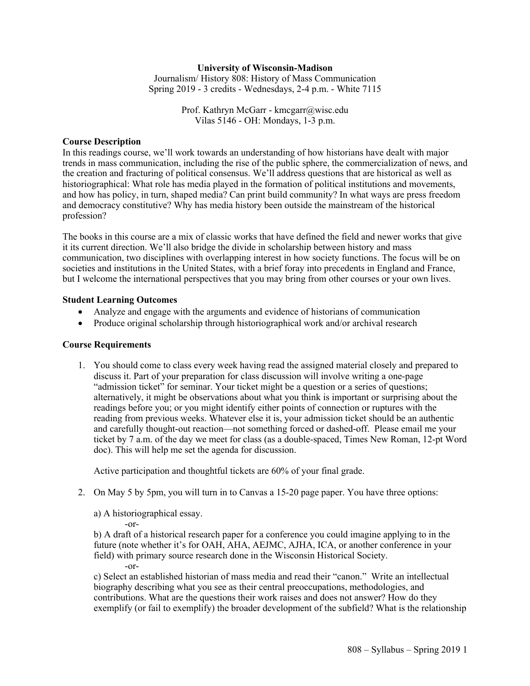# **University of Wisconsin-Madison**

Journalism/ History 808: History of Mass Communication Spring 2019 - 3 credits - Wednesdays, 2-4 p.m. - White 7115

> Prof. Kathryn McGarr - kmcgarr@wisc.edu Vilas 5146 - OH: Mondays, 1-3 p.m.

### **Course Description**

In this readings course, we'll work towards an understanding of how historians have dealt with major trends in mass communication, including the rise of the public sphere, the commercialization of news, and the creation and fracturing of political consensus. We'll address questions that are historical as well as historiographical: What role has media played in the formation of political institutions and movements, and how has policy, in turn, shaped media? Can print build community? In what ways are press freedom and democracy constitutive? Why has media history been outside the mainstream of the historical profession?

The books in this course are a mix of classic works that have defined the field and newer works that give it its current direction. We'll also bridge the divide in scholarship between history and mass communication, two disciplines with overlapping interest in how society functions. The focus will be on societies and institutions in the United States, with a brief foray into precedents in England and France, but I welcome the international perspectives that you may bring from other courses or your own lives.

#### **Student Learning Outcomes**

- Analyze and engage with the arguments and evidence of historians of communication
- Produce original scholarship through historiographical work and/or archival research

### **Course Requirements**

1. You should come to class every week having read the assigned material closely and prepared to discuss it. Part of your preparation for class discussion will involve writing a one-page "admission ticket" for seminar. Your ticket might be a question or a series of questions; alternatively, it might be observations about what you think is important or surprising about the readings before you; or you might identify either points of connection or ruptures with the reading from previous weeks. Whatever else it is, your admission ticket should be an authentic and carefully thought-out reaction—not something forced or dashed-off. Please email me your ticket by 7 a.m. of the day we meet for class (as a double-spaced, Times New Roman, 12-pt Word doc). This will help me set the agenda for discussion.

Active participation and thoughtful tickets are 60% of your final grade.

2. On May 5 by 5pm, you will turn in to Canvas a 15-20 page paper. You have three options:

a) A historiographical essay.

 $-0r-$ 

b) A draft of a historical research paper for a conference you could imagine applying to in the future (note whether it's for OAH, AHA, AEJMC, AJHA, ICA, or another conference in your field) with primary source research done in the Wisconsin Historical Society. -or-

c) Select an established historian of mass media and read their "canon." Write an intellectual biography describing what you see as their central preoccupations, methodologies, and contributions. What are the questions their work raises and does not answer? How do they exemplify (or fail to exemplify) the broader development of the subfield? What is the relationship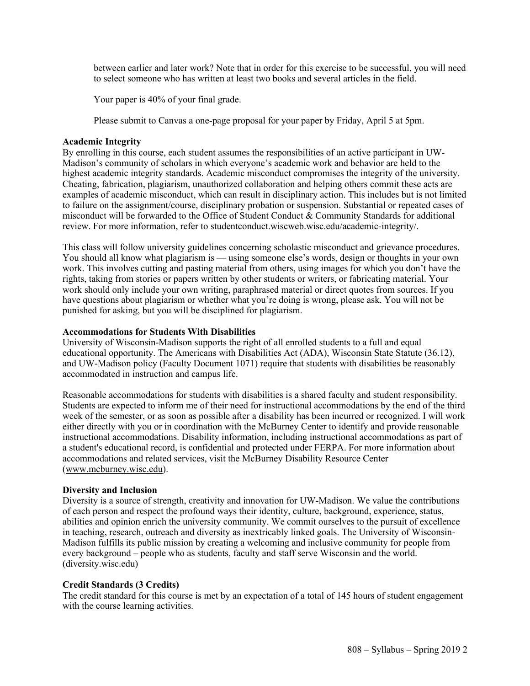between earlier and later work? Note that in order for this exercise to be successful, you will need to select someone who has written at least two books and several articles in the field.

Your paper is 40% of your final grade.

Please submit to Canvas a one-page proposal for your paper by Friday, April 5 at 5pm.

# **Academic Integrity**

By enrolling in this course, each student assumes the responsibilities of an active participant in UW-Madison's community of scholars in which everyone's academic work and behavior are held to the highest academic integrity standards. Academic misconduct compromises the integrity of the university. Cheating, fabrication, plagiarism, unauthorized collaboration and helping others commit these acts are examples of academic misconduct, which can result in disciplinary action. This includes but is not limited to failure on the assignment/course, disciplinary probation or suspension. Substantial or repeated cases of misconduct will be forwarded to the Office of Student Conduct  $\&$  Community Standards for additional review. For more information, refer to studentconduct.wiscweb.wisc.edu/academic-integrity/.

This class will follow university guidelines concerning scholastic misconduct and grievance procedures. You should all know what plagiarism is — using someone else's words, design or thoughts in your own work. This involves cutting and pasting material from others, using images for which you don't have the rights, taking from stories or papers written by other students or writers, or fabricating material. Your work should only include your own writing, paraphrased material or direct quotes from sources. If you have questions about plagiarism or whether what you're doing is wrong, please ask. You will not be punished for asking, but you will be disciplined for plagiarism.

## **Accommodations for Students With Disabilities**

University of Wisconsin-Madison supports the right of all enrolled students to a full and equal educational opportunity. The Americans with Disabilities Act (ADA), Wisconsin State Statute (36.12), and UW-Madison policy (Faculty Document 1071) require that students with disabilities be reasonably accommodated in instruction and campus life.

Reasonable accommodations for students with disabilities is a shared faculty and student responsibility. Students are expected to inform me of their need for instructional accommodations by the end of the third week of the semester, or as soon as possible after a disability has been incurred or recognized. I will work either directly with you or in coordination with the McBurney Center to identify and provide reasonable instructional accommodations. Disability information, including instructional accommodations as part of a student's educational record, is confidential and protected under FERPA. For more information about accommodations and related services, visit the McBurney Disability Resource Center (www.mcburney.wisc.edu).

## **Diversity and Inclusion**

Diversity is a source of strength, creativity and innovation for UW-Madison. We value the contributions of each person and respect the profound ways their identity, culture, background, experience, status, abilities and opinion enrich the university community. We commit ourselves to the pursuit of excellence in teaching, research, outreach and diversity as inextricably linked goals. The University of Wisconsin-Madison fulfills its public mission by creating a welcoming and inclusive community for people from every background – people who as students, faculty and staff serve Wisconsin and the world. (diversity.wisc.edu)

# **Credit Standards (3 Credits)**

The credit standard for this course is met by an expectation of a total of 145 hours of student engagement with the course learning activities.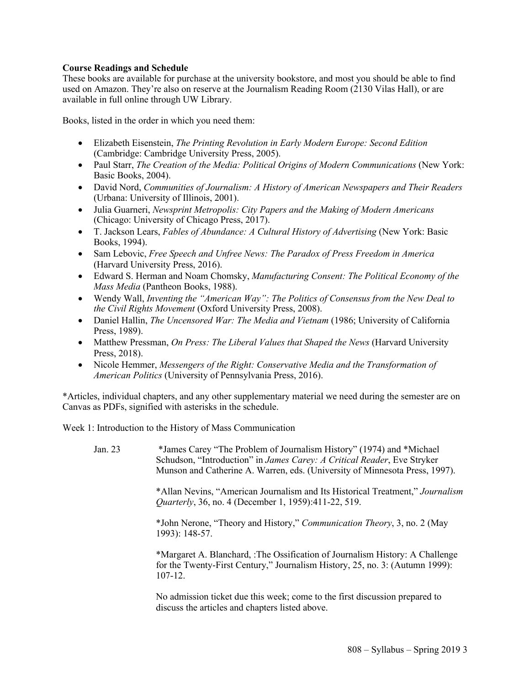# **Course Readings and Schedule**

These books are available for purchase at the university bookstore, and most you should be able to find used on Amazon. They're also on reserve at the Journalism Reading Room (2130 Vilas Hall), or are available in full online through UW Library.

Books, listed in the order in which you need them:

- Elizabeth Eisenstein, *The Printing Revolution in Early Modern Europe: Second Edition* (Cambridge: Cambridge University Press, 2005).
- Paul Starr, *The Creation of the Media: Political Origins of Modern Communications* (New York: Basic Books, 2004).
- David Nord, *Communities of Journalism: A History of American Newspapers and Their Readers* (Urbana: University of Illinois, 2001).
- Julia Guarneri, *Newsprint Metropolis: City Papers and the Making of Modern Americans* (Chicago: University of Chicago Press, 2017).
- T. Jackson Lears, *Fables of Abundance: A Cultural History of Advertising* (New York: Basic Books, 1994).
- Sam Lebovic, *Free Speech and Unfree News: The Paradox of Press Freedom in America* (Harvard University Press, 2016).
- Edward S. Herman and Noam Chomsky, *Manufacturing Consent: The Political Economy of the Mass Media* (Pantheon Books, 1988).
- Wendy Wall, *Inventing the "American Way": The Politics of Consensus from the New Deal to the Civil Rights Movement* (Oxford University Press, 2008).
- Daniel Hallin, *The Uncensored War: The Media and Vietnam* (1986; University of California Press, 1989).
- Matthew Pressman, *On Press: The Liberal Values that Shaped the News* (Harvard University Press, 2018).
- Nicole Hemmer, *Messengers of the Right: Conservative Media and the Transformation of American Politics* (University of Pennsylvania Press, 2016).

\*Articles, individual chapters, and any other supplementary material we need during the semester are on Canvas as PDFs, signified with asterisks in the schedule.

Week 1: Introduction to the History of Mass Communication

| Jan. 23 | *James Carey "The Problem of Journalism History" (1974) and *Michael<br>Schudson, "Introduction" in James Carey: A Critical Reader, Eve Stryker<br>Munson and Catherine A. Warren, eds. (University of Minnesota Press, 1997). |
|---------|--------------------------------------------------------------------------------------------------------------------------------------------------------------------------------------------------------------------------------|
|         | *Allan Nevins, "American Journalism and Its Historical Treatment," Journalism<br><i>Quarterly</i> , 36, no. 4 (December 1, 1959):411-22, 519.                                                                                  |
|         | *John Nerone, "Theory and History," Communication Theory, 3, no. 2 (May<br>1993): 148-57.                                                                                                                                      |
|         | *Margaret A. Blanchard, :The Ossification of Journalism History: A Challenge<br>for the Twenty-First Century," Journalism History, 25, no. 3: (Autumn 1999):<br>$107 - 12.$                                                    |
|         | No edmission tighet due this week, come to the first discussion propered to                                                                                                                                                    |

No admission ticket due this week; come to the first discussion prepared to discuss the articles and chapters listed above.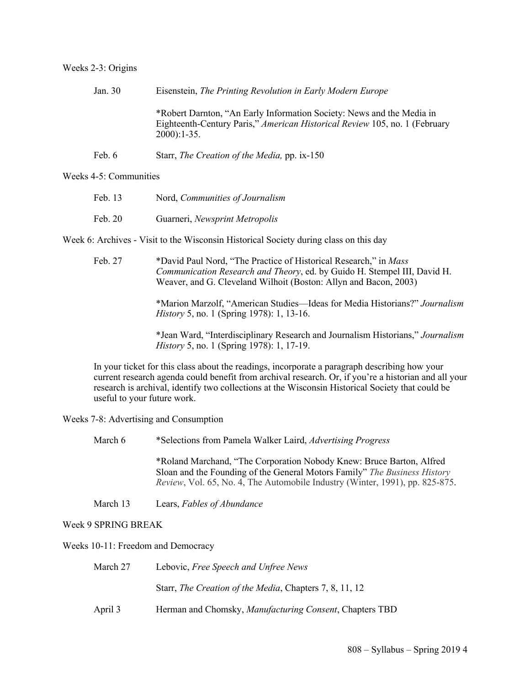#### Weeks 2-3: Origins

| Jan. 30 | Eisenstein, The Printing Revolution in Early Modern Europe                                                                                                            |
|---------|-----------------------------------------------------------------------------------------------------------------------------------------------------------------------|
|         | *Robert Darnton, "An Early Information Society: News and the Media in<br>Eighteenth-Century Paris," American Historical Review 105, no. 1 (February<br>$2000$ : 1-35. |
| Feb. 6  | Starr, <i>The Creation of the Media</i> , pp. ix-150                                                                                                                  |

## Weeks 4-5: Communities

| Feb. 13 | Nord, Communities of Journalism |
|---------|---------------------------------|
| Feb. 20 | Guarneri, Newsprint Metropolis  |

Week 6: Archives - Visit to the Wisconsin Historical Society during class on this day

Feb. 27 \*David Paul Nord, "The Practice of Historical Research," in *Mass Communication Research and Theory*, ed. by Guido H. Stempel III, David H. Weaver, and G. Cleveland Wilhoit (Boston: Allyn and Bacon, 2003)

> \*Marion Marzolf, "American Studies—Ideas for Media Historians?" *Journalism History* 5, no. 1 (Spring 1978): 1, 13-16.

> \*Jean Ward, "Interdisciplinary Research and Journalism Historians," *Journalism History* 5, no. 1 (Spring 1978): 1, 17-19.

In your ticket for this class about the readings, incorporate a paragraph describing how your current research agenda could benefit from archival research. Or, if you're a historian and all your research is archival, identify two collections at the Wisconsin Historical Society that could be useful to your future work.

Weeks 7-8: Advertising and Consumption

| March 6 | *Selections from Pamela Walker Laird, Advertising Progress |  |  |  |
|---------|------------------------------------------------------------|--|--|--|
|---------|------------------------------------------------------------|--|--|--|

\*Roland Marchand, "The Corporation Nobody Knew: Bruce Barton, Alfred Sloan and the Founding of the General Motors Family" *The Business History Review*, Vol. 65, No. 4, The Automobile Industry (Winter, 1991), pp. 825-875.

March 13 Lears, *Fables of Abundance*

Week 9 SPRING BREAK

Weeks 10-11: Freedom and Democracy

| March 27 | Lebovic, Free Speech and Unfree News                            |
|----------|-----------------------------------------------------------------|
|          | Starr, <i>The Creation of the Media</i> , Chapters 7, 8, 11, 12 |
| April 3  | Herman and Chomsky, Manufacturing Consent, Chapters TBD         |